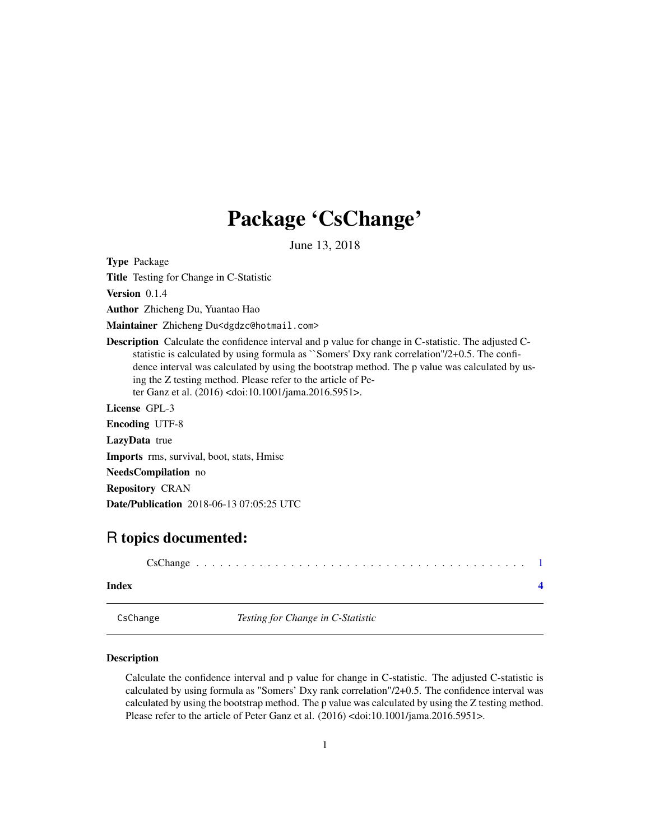## <span id="page-0-0"></span>Package 'CsChange'

June 13, 2018

Type Package

Title Testing for Change in C-Statistic

Version 0.1.4

Author Zhicheng Du, Yuantao Hao

Maintainer Zhicheng Du<dgdzc@hotmail.com>

Description Calculate the confidence interval and p value for change in C-statistic. The adjusted Cstatistic is calculated by using formula as ``Somers' Dxy rank correlation''/2+0.5. The confidence interval was calculated by using the bootstrap method. The p value was calculated by using the Z testing method. Please refer to the article of Peter Ganz et al. (2016) <doi:10.1001/jama.2016.5951>.

License GPL-3

Encoding UTF-8 LazyData true

Imports rms, survival, boot, stats, Hmisc

NeedsCompilation no

Repository CRAN

Date/Publication 2018-06-13 07:05:25 UTC

### R topics documented:

| Index |  |  |  |  |  |  |  |  |  |  |  |  |  |  |  |  |
|-------|--|--|--|--|--|--|--|--|--|--|--|--|--|--|--|--|

CsChange *Testing for Change in C-Statistic*

#### Description

Calculate the confidence interval and p value for change in C-statistic. The adjusted C-statistic is calculated by using formula as "Somers' Dxy rank correlation"/2+0.5. The confidence interval was calculated by using the bootstrap method. The p value was calculated by using the Z testing method. Please refer to the article of Peter Ganz et al. (2016) <doi:10.1001/jama.2016.5951>.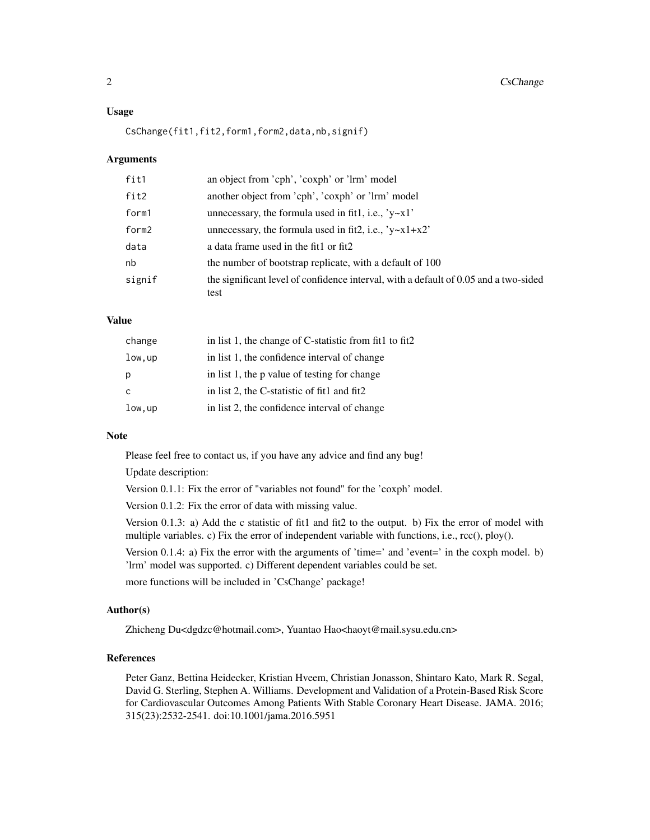#### 2 CsChange

#### Usage

CsChange(fit1,fit2,form1,form2,data,nb,signif)

#### Arguments

| fit1   | an object from 'cph', 'coxph' or 'lrm' model                                                 |
|--------|----------------------------------------------------------------------------------------------|
| fit2   | another object from 'cph', 'coxph' or 'lrm' model                                            |
| form1  | unnecessary, the formula used in fit1, i.e., $y \sim x1$                                     |
| form2  | unnecessary, the formula used in fit2, i.e., $y \sim x1 + x2$                                |
| data   | a data frame used in the fit1 or fit2                                                        |
| nb     | the number of bootstrap replicate, with a default of 100                                     |
| signif | the significant level of confidence interval, with a default of 0.05 and a two-sided<br>test |

#### Value

| change  | in list 1, the change of C-statistic from fit1 to fit2 |
|---------|--------------------------------------------------------|
| low, up | in list 1, the confidence interval of change           |
| р       | in list 1, the p value of testing for change           |
| C       | in list 2, the C-statistic of fit1 and fit2            |
| Low, up | in list 2, the confidence interval of change           |

#### Note

Please feel free to contact us, if you have any advice and find any bug!

Update description:

Version 0.1.1: Fix the error of "variables not found" for the 'coxph' model.

Version 0.1.2: Fix the error of data with missing value.

Version 0.1.3: a) Add the c statistic of fit1 and fit2 to the output. b) Fix the error of model with multiple variables. c) Fix the error of independent variable with functions, i.e., rcc(), ploy().

Version 0.1.4: a) Fix the error with the arguments of 'time=' and 'event=' in the coxph model. b) 'lrm' model was supported. c) Different dependent variables could be set.

more functions will be included in 'CsChange' package!

#### Author(s)

Zhicheng Du<dgdzc@hotmail.com>, Yuantao Hao<haoyt@mail.sysu.edu.cn>

#### References

Peter Ganz, Bettina Heidecker, Kristian Hveem, Christian Jonasson, Shintaro Kato, Mark R. Segal, David G. Sterling, Stephen A. Williams. Development and Validation of a Protein-Based Risk Score for Cardiovascular Outcomes Among Patients With Stable Coronary Heart Disease. JAMA. 2016; 315(23):2532-2541. doi:10.1001/jama.2016.5951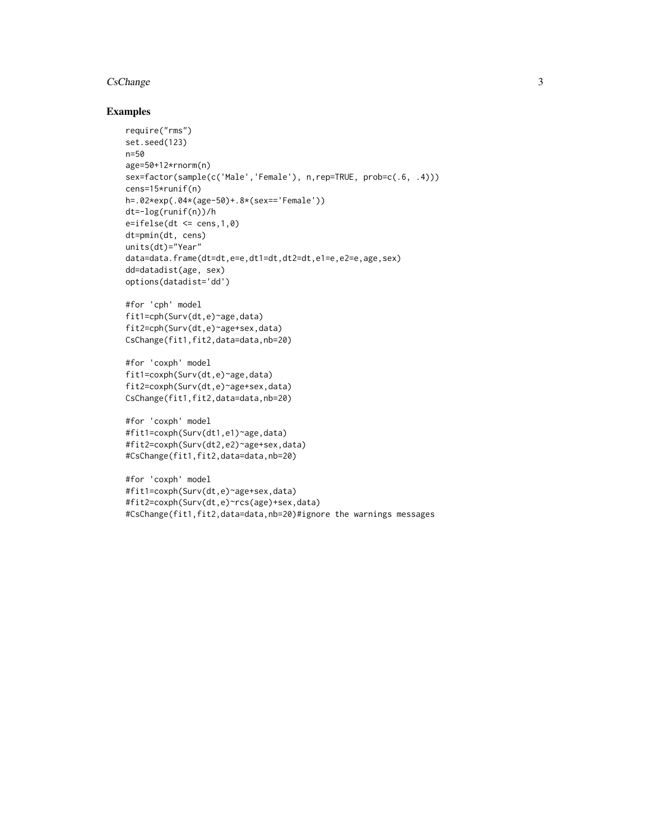#### CsChange 3

#### Examples

```
require("rms")
set.seed(123)
n=50
age=50+12*rnorm(n)
sex=factor(sample(c('Male','Female'), n,rep=TRUE, prob=c(.6, .4)))
cens=15*runif(n)
h=.02*exp(.04*(age-50)+.8*(sex=='Female'))
dt=-log(runif(n))/h
e=ifelse(dt \leq cens,1,0)dt=pmin(dt, cens)
units(dt)="Year"
data=data.frame(dt=dt,e=e,dt1=dt,dt2=dt,e1=e,e2=e,age,sex)
dd=datadist(age, sex)
options(datadist='dd')
#for 'cph' model
fit1=cph(Surv(dt,e)~age,data)
fit2=cph(Surv(dt,e)~age+sex,data)
CsChange(fit1,fit2,data=data,nb=20)
#for 'coxph' model
fit1=coxph(Surv(dt,e)~age,data)
fit2=coxph(Surv(dt,e)~age+sex,data)
CsChange(fit1,fit2,data=data,nb=20)
#for 'coxph' model
#fit1=coxph(Surv(dt1,e1)~age,data)
#fit2=coxph(Surv(dt2,e2)~age+sex,data)
#CsChange(fit1,fit2,data=data,nb=20)
#for 'coxph' model
#fit1=coxph(Surv(dt,e)~age+sex,data)
#fit2=coxph(Surv(dt,e)~rcs(age)+sex,data)
```
#CsChange(fit1,fit2,data=data,nb=20)#ignore the warnings messages